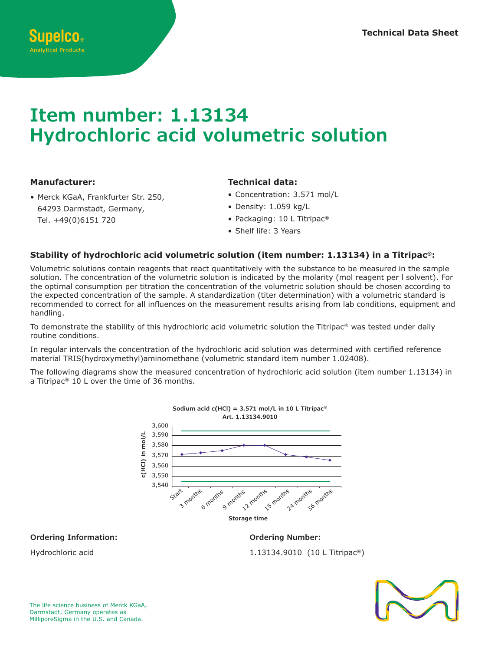# **Item number: 1.13134 Hydrochloric acid volumetric solution Storage time**  $3334$  $\overline{1}$

0,502 0,501

**c(HCl) in mol/L**

## **Manufacturer:**

• Merck KGaA, Frankfurter Str. 250,<br>64293 Darmstadt, Germany,<br>Tel +49(0)6151 720 64293 Darmstadt, Germany, Tel. +49(0)6151 720 r.<br>',

## **Technical data:**

**Sodium hydroxide c(HCl) = 0.5 mol/L in 4 L Titripac®**

- Concentration: 3.571 mol/L
- Density: 1.059 kg/L
- Packaging: 10 L Titripac® 36 months
- Shelf life: 3 Years

# Stability of hydrochloric acid volumetric solution (item number: 1.13134) in a Titripac®:

Volumetric solutions contain reagents that react quantitatively with the substance to be measured in the sample solution. The concentration of the volumetric solution is indicated by the molarity (mol reagent per I solvent). For the optimal consumption per titration the concentration of the volumetric solution should be chosen according to the expected concentration of the sample. A standardization (titer determination) with a volumetric standard is<br>recommended to correct for all influences on the measurement results arising from lab conditions, equipment an recommended to correct for all influences on the measurement results arising from lab conditions, equipment and handling. e<br>ال<br>te 0,251 **Art. 1.09139.9010**

To demonstrate the stability of this hydrochloric acid volumetric solution the Titripac® was tested under daily routine conditions. 0,1990

In regular intervals the concentration of the hydrochloric acid solution was determined with certified reference<br>material TRIS(hydroxymethyl)aminomethane (volumetric standard item number 1.02408). In regular intervals the concentration of the hydrochloric acid solution was determined with<br>material TRIS(hydroxymethyl)aminomethane (volumetric standard item number 1.02408).<br>.

The following diagrams show the measured concentration of hydrochloric acid solution (item number 1.13134) in<br>a Titrings® 10 Laurenthe time of 26 meaths a Titripac® 10 L over the time of 36 months.



**Ordering Information:**

1.13134.9010 (10 L Titripac®)

**Ordering Number:**



Hydrochloric acid